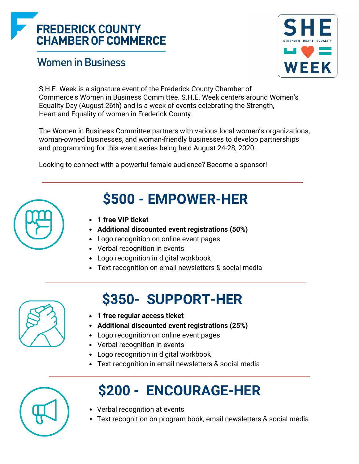### **FREDERICK COUNTY CHAMBER OF COMMERCE**

#### **Women in Business**



S.H.E. Week is a signature event of the Frederick County Chamber of Commerce's Women in Business Committee. S.H.E. Week centers around Women's Equality Day (August 26th) and is a week of events celebrating the Strength, Heart and Equality of women in Frederick County.

The Women in Business Committee partners with various local women's organizations, woman-owned businesses, and woman-friendly businesses to develop partnerships and programming for this event series being held August 24-28, 2020.

Looking to connect with a powerful female audience? Become a sponsor!



### **\$500 - EMPOWER-HER**

- **1 free VIP ticket**
- **Additional discounted event registrations (50%)**
- Logo recognition on online event pages
- Verbal recognition in events
- Logo recognition in digital workbook
- Text recognition on email newsletters & social media

## **\$350- SUPPORT-HER**

- **1 free regular access ticket**
- **Additional discounted event registrations (25%)**
- Logo recognition on online event pages
- Verbal recognition in events
- Logo recognition in digital workbook
- Text recognition in email newsletters & social media

| $\blacksquare\blacksquare$<br><b>STATE</b> |  |
|--------------------------------------------|--|
| U                                          |  |
|                                            |  |

# **\$200 - ENCOURAGE-HER**

- Verbal recognition at events
- Text recognition on program book, email newsletters & social media